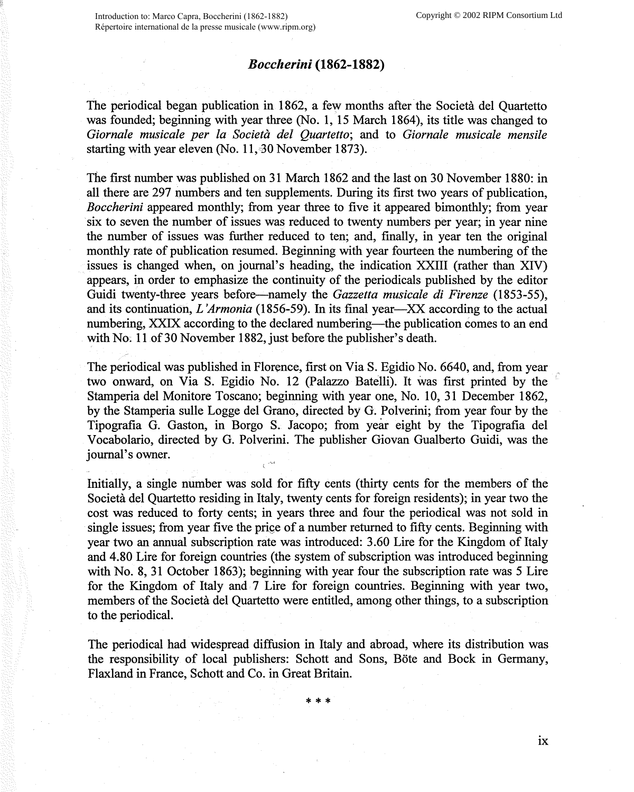## *Bocclierini* **(1862-1882)**

The periodical began publication in 1862, a few months after the Società del Quartetto was founded; beginning with year three (No. 1, 15 March 1864), its title was changed to *Giornale musicale per la Societa del Quartetto;* and to *Giornale musicale mensile*  starting with year eleven (No. 11, 30 November 1873).

The first number was published on 31 March 1862 and the last on 30 November 1880: in all there are 297 numbers and ten supplements. During its first two years of publication, *Boccherini* appeared monthly; from year three to five it appeared bimonthly; from year six to seven the number of issues was reduced to twenty numbers per year; in year nine the number of issues was further reduced to ten; and, finally, in year ten the original monthly rate of publication resumed. Beginning with year fourteen the numbering of the issues is changed when, on journal's heading, the indication XXIII (rather than XIV) appears, in order to emphasize the continuity of the periodicals published by the editor Guidi twenty-three years before-namely the *Gazzetta musicale di Firenze* (1853-55), and its continuation, *L 'Armonia* (1856-59). In its final year-XX according to the actual numbering, XXIX according to the declared numbering—the publication comes to an end with No; 11 of 30 November 1882, just before the publisher's death.

The periodical was published in Florence, first on Via S. Egidio No. 6640, and, from year two onward, on Via S. Egidio No. 12 (Palazzo Batelli). It was first printed by the Stamperia del Monitore Toscano; beginning with year one, No. 10, 31 December 1862, by the Stamperia sulle Logge del Grano, directed by G. Polverini; from year four by the Tipografia G. Gaston, in Borgo S. Jacopo; from year eight by the Tipografia del Vocabolario, directed by G. Polverini. The publisher Giovan Gualberto Guidi, was the journal's owner.

Initially, a single number was sold for fifty cents (thirty cents for the members of the Societa del Quartetto residing in Italy, twenty cents for foreign residents); in year two the cost was reduced to forty cents; in years three and four the periodical was not sold in single issues; from year five the price of a number returned to fifty cents. Beginning with year two an annual subscription rate was introduced: 3.60 Lire for the Kingdom of Italy and 4.80 Lire for foreign countries (the system of subscription was introduced beginning with No. 8, 31 October 1863); beginning with year four the subscription rate was 5 Lire for the Kingdom of Italy and 7 Lire for foreign countries. Beginning with year two, members of the Societa del Quartetto were entitled, among other things, to a subscription to the periodical.

The periodical had widespread diffusion in Italy and abroad, where its distribution was the responsibility of local publishers: Schott and Sons, Bote and Bock in Germany, Flaxland in France, Schott and Co. in Great Britain.

\*\*\*

**IX**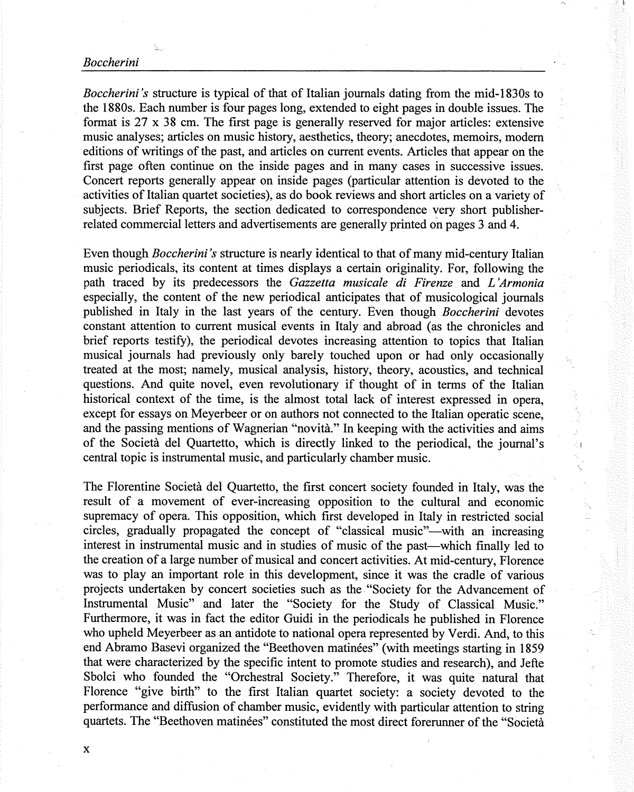## *Boccherini*

*Boccherini 's* structure is typical of that of Italian journals dating from the mid-1830s to the 1880s. Each number is four pages long, extended to eight pages in double issues. The format is 27 x 38 cm. The first page is generally reserved for major articles: extensive music analyses; articles on music history, aesthetics, theory; anecdotes, memoirs, modem editions of writings of the past, and articles on current events. Articles that appear on the first page often continue on the inside pages and in many cases in successive issues. Concert reports generally appear on inside pages (particular attention is devoted to the activities of Italian quartet societies), as do book reviews and short articles on a variety of subjects. Brief Reports, the section dedicated to correspondence very short publisherrelated commercial letters and advertisements are generally printed on pages 3 and 4.

Even though *Boccherini 's* structure is nearly identical to that of many mid-century Italian music periodicals, its content at times displays a certain originality. For, following the path traced by its predecessors the *Gazzetta musicale di Firenze* and *L 'Armonia*  especially, the content of the new periodical anticipates that of musicological journals published in Italy in the last years of the century. Even though *Boccherini* devotes constant attention to current musical events in Italy and abroad (as the chronicles and brief reports testify), the periodical devotes increasing attention to topics that Italian musical journals had previously only barely touched upon or had only occasionally treated at the most; namely, musical analysis, history, theory, acoustics, and technical questions. And quite novel, even revolutionary if thought of in terms of the Italian historical context of the time, is the almost total lack of interest expressed in opera, except for essays on Meyerbeer or on authors not connected to the Italian operatic scene, and the passing mentions of Wagnerian "novita." In keeping with the activities and aims of the Societa del Quartetto, which is directly linked to the periodical, the journal's central topic is instrumental music, and particularly chamber music.

The Florentine Societa del Quartetto, the first concert society founded in Italy, was the result of a movement of ever-increasing opposition to the cultural and economic supremacy of opera. This opposition, which first developed in Italy in restricted social circles, gradually propagated the concept of "classical music"—with an increasing interest in instrumental music and in studies of music of the past—which finally led to the creation of a large number of musical and concert activities. At mid-century, Florence was to play an important role in this development, since it was the cradle of various projects undertaken by concert societies such as the "Society for the Advancement of Instrumental Music" and later the "Society for the Study of Classical Music." Furthermore, it was in fact the editor Guidi in the periodicals he published in Florence who upheld Meyerbeer as an antidote to national opera represented by Verdi. And, to this end Abramo Basevi organized the "Beethoven matinees" (with meetings starting in 1859 that were characterized by the specific intent to promote studies and research), and Jefte Sbolci who founded the "Orchestral Society." Therefore, it was quite natural that Florence "give birth" to the first Italian quartet society: a society devoted to the performance and diffusion of chamber music, evidently with particular attention to string quartets. The "Beethoven matinees" constituted the most direct forerunner of the "Societa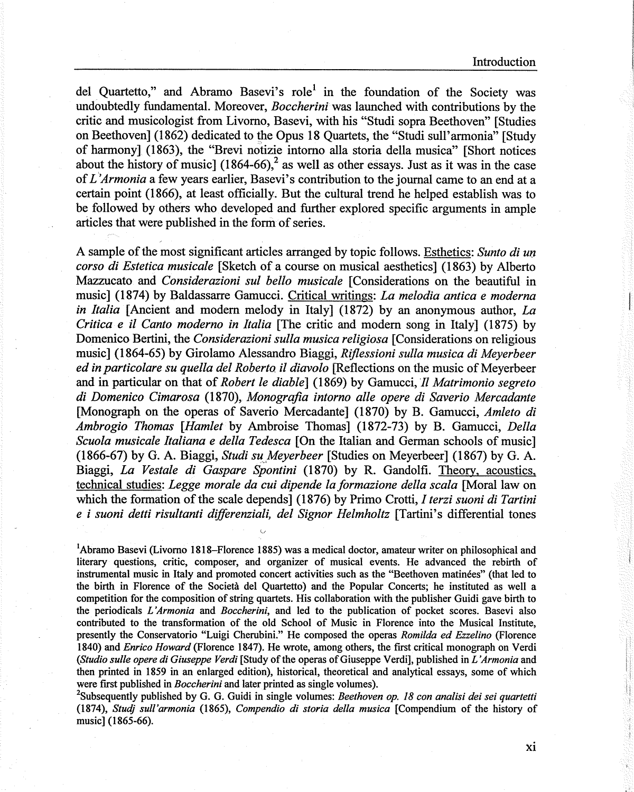del Quartetto," and Abramo Basevi's role<sup>1</sup> in the foundation of the Society was undoubtedly fundamental. Moreover, *Boccherini* was launched with contributions by the critic and musicologist from Livomo, Basevi, with his "Studi sopra Beethoven" [Studies on Beethoven] (1862) dedicated to the Opus 18 Quartets, the "Studi sull'armonia" [Study of harmony] (1863), the "Brevi notizie intomo alla storia della musica" [Short notices about the history of music]  $(1864-66)$ ,<sup>2</sup> as well as other essays. Just as it was in the case of *L'Armonia* a few years earlier, Basevi's contribution to the journal came to an end at a certain point (1866), at least officially. But the cultural trend he helped establish was to be followed by others who developed and further explored specific arguments in ample articles that were published in the form of series.

A sample of the most significant articles arranged by topic follows. Esthetics: *Sunto di un corso di Estetica musicale* [Sketch of a course on musical aesthetics] (1863) by Alberto Mazzucato and *Considerazioni sul bello musicale* [Considerations on the beautiful in music] (1874) by Baldassarre Gamucci. Critical writings: *La melodia antica e moderna in Italia* [Ancient and modem melody in Italy] (1872) by an anonymous author, *La Critica e* ii *Canto moderno in Italia* [The critic and modem song in Italy] (1875) by Domenico Bertini, the *Considerazioni sulla musica religiosa* [Considerations on religious music] (1864-65) by Girolamo Alessandro Biaggi, *Riflessioni sulla musica di Meyerbeer ed in particolare su quella de! Roberta* ii *diavolo* [Reflections on the music of Meyerbeer and in particular on that of *Robert le diable]* (1869) by Gamucci, *11 Matrimonio segreto di Domenico Cimarosa* (1870), *Monografia intorno alle opere di Saverio Mercadante*  [Monograph on the operas of Saverio Mercadante] (1870) by B. Gamucci, *Amleto di Ambrogio Thomas [Hamlet* by Ambroise Thomas] (1872-73) by B. Gamucci, *Della Scuola musicale Italiana e della Tedesca* [On the Italian and German schools of music] (1866-67) by G. A. Biaggi, *Studi su Meyerbeer* [Studies on Meyerbeer] (1867) by G. A. Biaggi, *La Vestale di Gaspare Spontini* (1870) by R. Gandolfi. Theory, acoustics, technical studies: *Legge morale da cui dipende la formazione della sea/a* [Moral law on which the formation of the scale depends] (1876) by Primo Crotti, *I terzi suoni di Tartini e i suoni detti risultanti differenziali, de! Signor Helmholtz* [Tartini's differential tones

<sup>1</sup>Abramo Basevi (Livorno 1818–Florence 1885) was a medical doctor, amateur writer on philosophical and literary questions, critic, composer, and organizer of musical events. He advanced the rebirth of instrumental music in Italy and promoted concert activities such as the "Beethoven matinees" (that led to the birth in Florence of the Societa del Quartetto) and the Popular Concerts; he instituted as well a competition for the composition of string quartets. His collaboration with the publisher Guidi gave birth to the periodicals *L 'Armonia* and *Boccherini,* and led to the publication of pocket scores. Basevi also contributed to the transformation of the old School of Music in Florence into the Musical Institute, presently the Conservatorio "Luigi Cherubini." He composed the operas *Romilda ed Ezzelino* {Florence 1840) and *Enrico Howard* (Florence 1847). He wrote, among others, the first critical monograph on Verdi *(Studio sulle opere di Giuseppe Verdi* [Study of the operas of Giuseppe Verdi], published in *L 'Armonia* and then printed in 1859 in an enlarged edition), historical, theoretical and analytical essays, some of which were first published in *Boccherini* and later printed as single volumes).

2 Subsequently published by G. G. Guidi in single volumes: *Beethoven op. 18 con analisi dei sei quartetti*  (1874), *Studj sull'armonia* (1865), *Compendia di storia de/la musica* [Compendium of the history of music] (1865-66).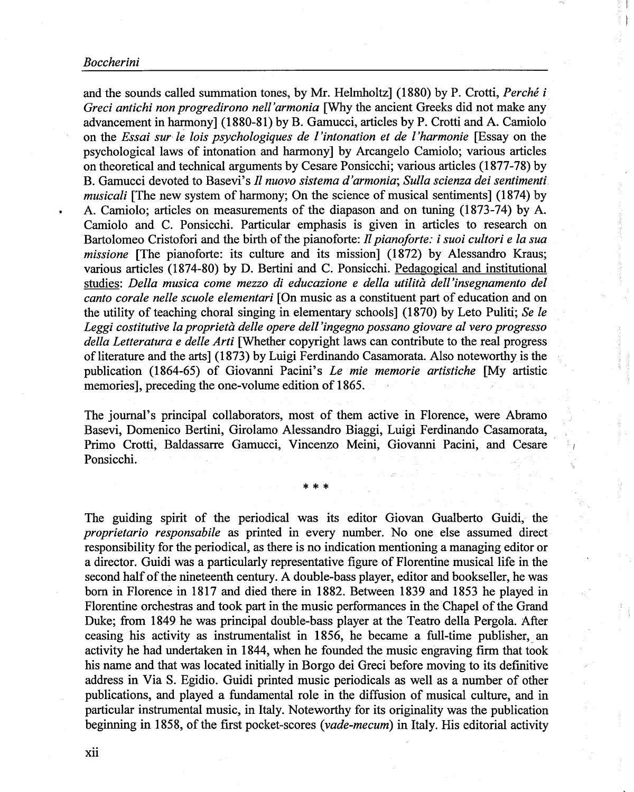## *Boccherini*

and the sounds called summation tones, by Mr. Helmholtz] (1880) by P. Crotti, *Perche i Greci antichi non progredirono nell'armonia* [Why the ancient Greeks did not make any advancement in harmony] (1880-81) by B. Gamucci, articles by P. Crotti and A. Camiolo on the *Essai sur le lois psychologiques de ! 'intonation et de l 'harmonie* [Essay on the psychological laws of intonation and harmony] by Arcangelo Camiolo; various articles on theoretical and technical arguments by Cesare Ponsicchi; various articles (1877-78) by B. Gamucci devoted to Basevi's *fl nuovo sistema d'armonia; Sulla scienza dei sentimenti musicali* [The new system of harmony; On the science of musical sentiments] (1874) by • A. Camiolo; articles on measurements of the diapason and on tuning (1873-74) by A. Camiolo and C. Ponsicchi. Particular emphasis is given in articles to research on Bartolomeo Cristofori and the birth of the pianoforte: *JI pianoforte: i suoi cultori e la sua missione* [The pianoforte: its culture and its mission] (1872) by Alessandro Kraus; various articles (1874-80) by D. Bertini and C. Ponsicchi. Pedagogical and institutional studies: *Della musica come mezzo di educazione e delta utilita dell 'insegnamento def canto corale nelle scuole elementari* [On music as a constituent part of education and on the utility of teaching choral singing in elementary schools] (1870) by Leto Puliti; *Se le Leggi costitutive la proprieta delle opere dell 'ingegno possano giovare al vero progresso della Letteratura e delle Arti* [Whether copyright laws can contribute to the real progress of literature and the arts] (1873) by Luigi Ferdinando Casamorata. Also noteworthy is the publication (1864-65) of Giovanni Pacini's *Le mie memorie artistiche* [My artistic memories], preceding the one-volume edition of 1865.

The journal's principal collaborators, most of them active in Florence, were Abramo Basevi, Domenico Bertini, Girolamo Alessandro Biaggi, Luigi Ferdinando Casamorata, Primo Crotti, Baldassarre Gamucci, Vincenzo Meini, Giovanni Pacini, and Cesare Ponsicchi.

\* \* \*

The guiding spirit of the periodical was its editor Giovan Gualberto Guidi, the *proprietario responsabile* as printed in every number. No one else assumed direct responsibility for the periodical, as there is no indication mentioning a managing editor or a director. Guidi was a particularly representative figure of Florentine musical life in the second half of the nineteenth century. A double-bass player, editor and bookseller, he was born in Florence in 1817 and died there in 1882. Between 1839 and 1853 he played in Florentine orchestras and took part in the music performances in the Chapel of the Grand Duke; from 1849 he was principal double-bass player at the Teatro della Pergola. After ceasing his activity as instrumentalist in 1856, he became a full-time publisher," an activity he had undertaken in 1844, when he founded the music engraving firm that took his name and that was located initially in Borgo dei Greci before moving to its definitive address in Via S. Egidio. Guidi printed music periodicals as well as a number of other publications, and played a fundamental role in the diffusion of musical culture, and in particular instrumental music, in Italy. Noteworthy for its originality was the publication beginning in 1858, of the first pocket-scores *(vade-mecum)* in Italy. His editorial activity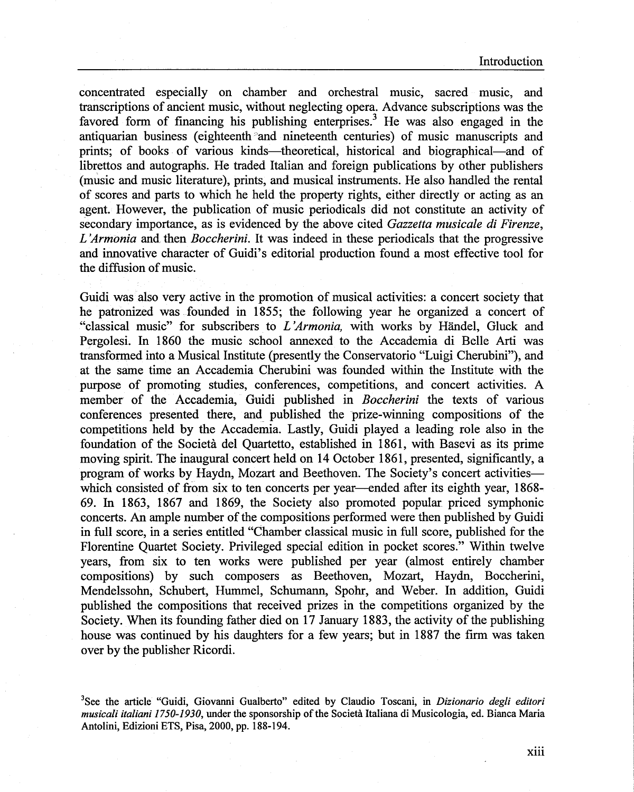Introduction

concentrated especially on chamber and orchestral music, sacred music, and transcriptions of ancient music, without neglecting opera. Advance subscriptions was the favored form of financing his publishing enterprises.<sup>3</sup> He was also engaged in the antiquarian business (eighteenth and nineteenth centuries) of music manuscripts and prints; of books of various kinds-theoretical, historical and biographical-and of librettos and autographs. He traded Italian and foreign publications by other publishers (music and music literature), prints, and musical instruments. He also handled the rental of scores and parts to which he held the property rights, either directly or acting as an agent. However, the publication of music periodicals did not constitute an activity of secondary importance, as is evidenced by the above cited *Gazzetta musicale di Firenze, L 'Armonia* and then *Boccherini.* It was indeed in these periodicals that the progressive and innovative character of Guidi's editorial production found a most effective tool for the diffusion of music.

Guidi was also very active in the promotion of musical activities: a concert society that he patronized was founded in 1855; the following year he organized a concert of "classical music" for subscribers to *L 'Armonia,* with works by Handel, Gluck and Pergolesi. In 1860 the music school annexed to the Accademia di Belle Arti was transformed into a Musical Institute (presently the Conservatorio "Luigi Cherubini"), and at the same time an Accademia Cherubini was founded within the Institute with the purpose of promoting studies, conferences, competitions, and concert activities. A member of the Accademia, Guidi published in *Boccherini* the texts of various conferences presented there, and\_ published the prize-winning compositions of the competitions held by the Accademia. Lastly, Guidi played a leading role also in the foundation of the Societa del Quartetto, established in 1861, with Basevi as its prime moving spirit. The inaugural concert held on 14 October 1861, presented, significantly, a program of works by Haydn, Mozart and Beethoven. The Society's concert activitieswhich consisted of from six to ten concerts per year—ended after its eighth year, 1868-69. In 1863, 1867 and 1869, the Society also promoted popular priced symphonic concerts. An ample number of the compositions performed were then published by Guidi in full score, in a series entitled "Chamber classical music in full score, published for the Florentine Quartet Society. Privileged special edition in pocket scores." Within twelve years, from six to ten works were published per year (almost entirely chamber compositions) by such composers as Beethoven, Mozart, Haydn, Boccherini, Mendelssohn, Schubert, Hummel, Schumann, Spohr, and Weber. In addition, Guidi published the compositions that received prizes in the competitions organized by the Society. When its founding father died on 17 January 1883, the activity of the publishing house was continued by his daughters for a few years; but in 1887 the firm was taken over by the publisher Ricordi.

3 See the article "Guidi, Giovanni Gualberto" edited by Claudio Toscani, in *Dizionario degli editori musicali italiani 1750-1930,* under the sponsorship of the Societa Italiana di Musicologia, ed. Bianca Maria Antolini, Edizioni ETS, Pisa, 2000, pp. 188-194.